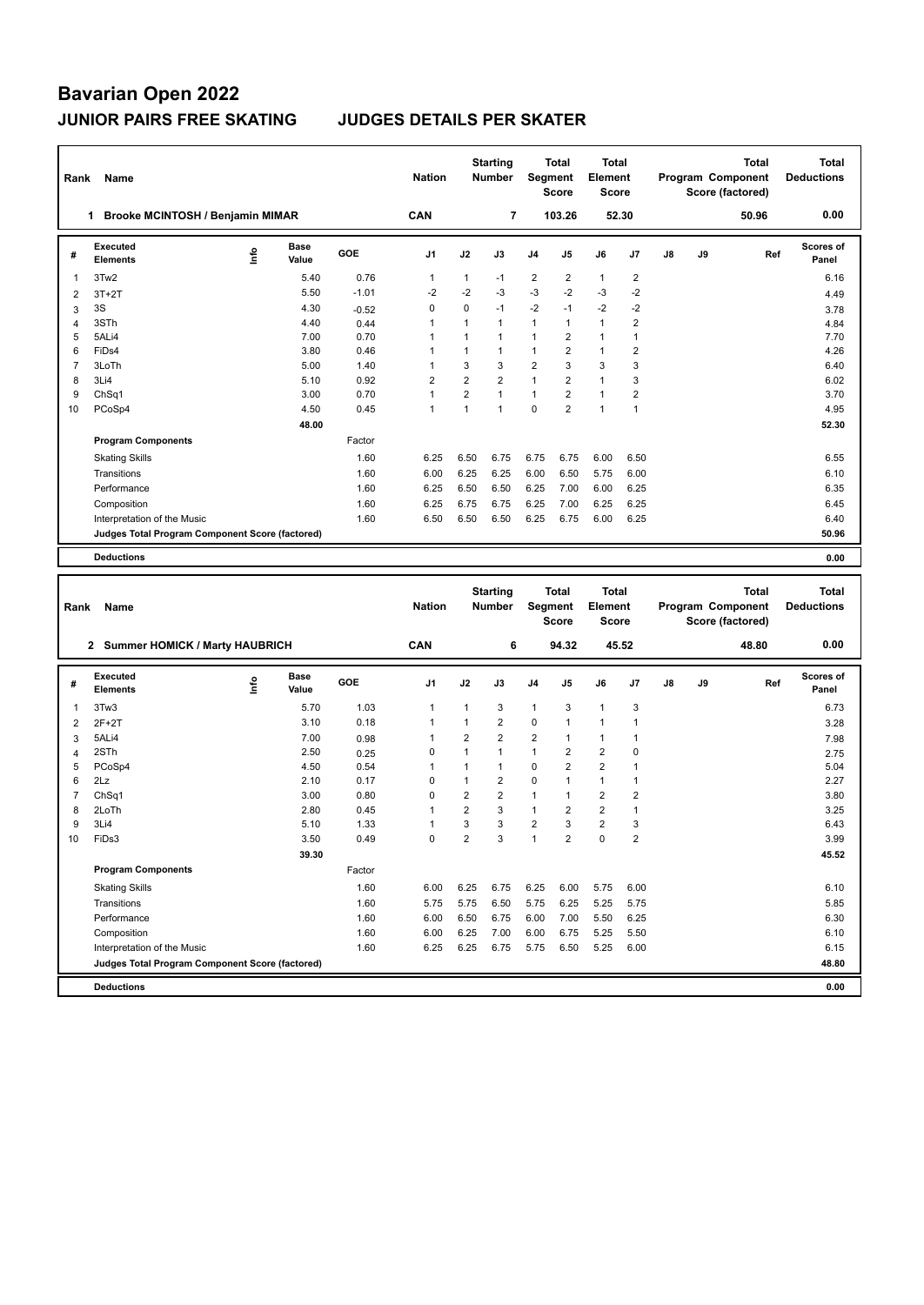| Rank           | Name                                            |      |                      |         | <b>Nation</b>  |                | <b>Starting</b><br><b>Number</b> | Segment        | Total<br><b>Score</b>        | <b>Total</b><br>Element<br><b>Score</b> |                         |    |    | Program Component<br>Score (factored) | <b>Total</b> | <b>Total</b><br><b>Deductions</b> |
|----------------|-------------------------------------------------|------|----------------------|---------|----------------|----------------|----------------------------------|----------------|------------------------------|-----------------------------------------|-------------------------|----|----|---------------------------------------|--------------|-----------------------------------|
|                | Brooke MCINTOSH / Benjamin MIMAR<br>1           |      |                      |         | CAN            |                | 7                                |                | 103.26                       |                                         | 52.30                   |    |    |                                       | 50.96        | 0.00                              |
| #              | <b>Executed</b><br>Elements                     | lnfo | <b>Base</b><br>Value | GOE     | J1             | J2             | J3                               | J4             | J5                           | J6                                      | J7                      | J8 | J9 |                                       | Ref          | Scores of<br>Panel                |
| 1              | 3Tw2                                            |      | 5.40                 | 0.76    | 1              | $\mathbf{1}$   | $-1$                             | 2              | $\overline{\mathbf{c}}$      | $\mathbf{1}$                            | $\overline{\mathbf{c}}$ |    |    |                                       |              | 6.16                              |
| $\overline{2}$ | $3T+2T$                                         |      | 5.50                 | $-1.01$ | $-2$           | $-2$           | -3                               | $-3$           | $-2$                         | $-3$                                    | $-2$                    |    |    |                                       |              | 4.49                              |
| 3              | 3S                                              |      | 4.30                 | $-0.52$ | 0              | 0              | $-1$                             | $-2$           | $-1$                         | -2                                      | $-2$                    |    |    |                                       |              | 3.78                              |
| 4              | 3STh                                            |      | 4.40                 | 0.44    | 1              | $\mathbf{1}$   | $\mathbf{1}$                     | 1              | 1                            | $\mathbf{1}$                            | $\overline{2}$          |    |    |                                       |              | 4.84                              |
| 5              | 5ALi4                                           |      | 7.00                 | 0.70    | 1              | $\mathbf{1}$   | $\mathbf{1}$                     | 1              | 2                            | $\mathbf{1}$                            | $\mathbf{1}$            |    |    |                                       |              | 7.70                              |
| 6              | FiDs4                                           |      | 3.80                 | 0.46    | 1              | $\mathbf{1}$   | $\mathbf{1}$                     | 1              | $\overline{2}$               | $\mathbf{1}$                            | $\overline{2}$          |    |    |                                       |              | 4.26                              |
| $\overline{7}$ | 3LoTh                                           |      | 5.00                 | 1.40    | 1              | 3              | 3                                | 2              | 3                            | 3                                       | 3                       |    |    |                                       |              | 6.40                              |
| 8              | 3Li4                                            |      | 5.10                 | 0.92    | $\overline{2}$ | $\overline{2}$ | $\overline{2}$                   | $\mathbf{1}$   | $\overline{2}$               | $\mathbf{1}$                            | 3                       |    |    |                                       |              | 6.02                              |
| 9              | ChSq1                                           |      | 3.00                 | 0.70    | 1              | $\overline{2}$ | $\mathbf{1}$                     | 1              | $\overline{2}$               | $\mathbf{1}$                            | $\overline{2}$          |    |    |                                       |              | 3.70                              |
| 10             | PCoSp4                                          |      | 4.50                 | 0.45    | 1              | $\mathbf{1}$   | $\mathbf{1}$                     | 0              | $\overline{2}$               | $\mathbf{1}$                            | $\mathbf{1}$            |    |    |                                       |              | 4.95                              |
|                |                                                 |      | 48.00                |         |                |                |                                  |                |                              |                                         |                         |    |    |                                       |              | 52.30                             |
|                | <b>Program Components</b>                       |      |                      | Factor  |                |                |                                  |                |                              |                                         |                         |    |    |                                       |              |                                   |
|                | <b>Skating Skills</b>                           |      |                      | 1.60    | 6.25           | 6.50           | 6.75                             | 6.75           | 6.75                         | 6.00                                    | 6.50                    |    |    |                                       |              | 6.55                              |
|                | Transitions                                     |      |                      | 1.60    | 6.00           | 6.25           | 6.25                             | 6.00           | 6.50                         | 5.75                                    | 6.00                    |    |    |                                       |              | 6.10                              |
|                | Performance                                     |      |                      | 1.60    | 6.25           | 6.50           | 6.50                             | 6.25           | 7.00                         | 6.00                                    | 6.25                    |    |    |                                       |              | 6.35                              |
|                | Composition                                     |      |                      | 1.60    | 6.25           | 6.75           | 6.75                             | 6.25           | 7.00                         | 6.25                                    | 6.25                    |    |    |                                       |              | 6.45                              |
|                | Interpretation of the Music                     |      |                      | 1.60    | 6.50           | 6.50           | 6.50                             | 6.25           | 6.75                         | 6.00                                    | 6.25                    |    |    |                                       |              | 6.40                              |
|                | Judges Total Program Component Score (factored) |      |                      |         |                |                |                                  |                |                              |                                         |                         |    |    |                                       |              | 50.96                             |
|                | <b>Deductions</b>                               |      |                      |         |                |                |                                  |                |                              |                                         |                         |    |    |                                       |              | 0.00                              |
|                |                                                 |      |                      |         |                |                |                                  |                |                              |                                         |                         |    |    |                                       |              |                                   |
|                |                                                 |      |                      |         |                |                |                                  |                |                              |                                         |                         |    |    |                                       |              |                                   |
| Rank           | Name                                            |      |                      |         | <b>Nation</b>  |                | <b>Starting</b><br><b>Number</b> | Segment        | <b>Total</b><br><b>Score</b> | <b>Total</b><br>Element<br>Score        |                         |    |    | Program Component<br>Score (factored) | <b>Total</b> | <b>Total</b><br><b>Deductions</b> |
|                | 2 Summer HOMICK / Marty HAUBRICH                |      |                      |         | CAN            |                | 6                                |                | 94.32                        |                                         | 45.52                   |    |    |                                       | 48.80        | 0.00                              |
|                |                                                 |      |                      |         |                |                |                                  |                |                              |                                         |                         |    |    |                                       |              |                                   |
| #              | Executed<br><b>Elements</b>                     | ١nf٥ | Base<br>Value        | GOE     | J1             | J2             | J3                               | J4             | J5                           | J6                                      | J7                      | J8 | J9 |                                       | Ref          | <b>Scores of</b><br>Panel         |
| 1              | 3Tw3                                            |      | 5.70                 | 1.03    | 1              | 1              | 3                                | 1              | 3                            | $\mathbf{1}$                            | 3                       |    |    |                                       |              | 6.73                              |
| $\overline{2}$ | $2F+2T$                                         |      | 3.10                 | 0.18    | 1              | $\mathbf{1}$   | $\overline{2}$                   | 0              | $\mathbf{1}$                 | $\mathbf{1}$                            | $\mathbf{1}$            |    |    |                                       |              | 3.28                              |
| 3              | 5ALi4                                           |      | 7.00                 | 0.98    | 1              | $\overline{2}$ | $\overline{2}$                   | 2              | $\mathbf{1}$                 | $\mathbf{1}$                            | 1                       |    |    |                                       |              | 7.98                              |
| 4              | 2STh                                            |      | 2.50                 | 0.25    | 0              | $\mathbf{1}$   | $\mathbf{1}$                     | 1              | $\overline{2}$               | $\overline{2}$                          | 0                       |    |    |                                       |              | 2.75                              |
| 5              | PCoSp4                                          |      | 4.50                 | 0.54    | 1              | $\mathbf{1}$   | $\mathbf{1}$                     | 0              | $\overline{2}$               | $\overline{2}$                          | $\mathbf{1}$            |    |    |                                       |              | 5.04                              |
| 6              | 2Lz                                             |      | 2.10                 | 0.17    | 0              | $\mathbf{1}$   | $\boldsymbol{2}$                 | 0              | 1                            | $\mathbf{1}$                            | 1                       |    |    |                                       |              | 2.27                              |
| 7              | Ch <sub>Sq1</sub>                               |      | 3.00                 | 0.80    | 0              | 2              | $\overline{2}$                   | 1              | 1                            | $\overline{2}$                          | $\overline{2}$          |    |    |                                       |              | 3.80                              |
| 8              | 2LoTh                                           |      | 2.80                 | 0.45    | 1              | $\overline{2}$ | 3                                | 1              | $\overline{2}$               | $\overline{2}$                          | $\mathbf{1}$            |    |    |                                       |              | 3.25                              |
| 9              | 3Li4                                            |      | 5.10                 | 1.33    | 1              | 3              | 3                                | $\overline{2}$ | 3                            | $\overline{2}$                          | 3                       |    |    |                                       |              | 6.43                              |
| 10             | FiDs3                                           |      | 3.50                 | 0.49    | 0              | $\overline{2}$ | 3                                | 1              | $\mathfrak{p}$               | $\mathbf 0$                             | 2                       |    |    |                                       |              | 3.99                              |
|                |                                                 |      | 39.30                |         |                |                |                                  |                |                              |                                         |                         |    |    |                                       |              | 45.52                             |
|                | <b>Program Components</b>                       |      |                      | Factor  |                |                |                                  |                |                              |                                         |                         |    |    |                                       |              |                                   |
|                | <b>Skating Skills</b>                           |      |                      | 1.60    | 6.00           | 6.25           | 6.75                             | 6.25           | 6.00                         | 5.75                                    | 6.00                    |    |    |                                       |              | 6.10                              |
|                | Transitions                                     |      |                      | 1.60    | 5.75           | 5.75           | 6.50                             | 5.75           | 6.25                         | 5.25                                    | 5.75                    |    |    |                                       |              | 5.85                              |
|                | Performance                                     |      |                      | 1.60    | 6.00           | 6.50           | 6.75                             | 6.00           | 7.00                         | 5.50                                    | 6.25                    |    |    |                                       |              | 6.30                              |
|                | Composition                                     |      |                      | 1.60    | 6.00           | 6.25           | 7.00                             | 6.00           | 6.75                         | 5.25                                    | 5.50                    |    |    |                                       |              | 6.10                              |
|                | Interpretation of the Music                     |      |                      | 1.60    | 6.25           | 6.25           | 6.75                             | 5.75           | 6.50                         | 5.25                                    | 6.00                    |    |    |                                       |              | 6.15                              |
|                | Judges Total Program Component Score (factored) |      |                      |         |                |                |                                  |                |                              |                                         |                         |    |    |                                       |              | 48.80                             |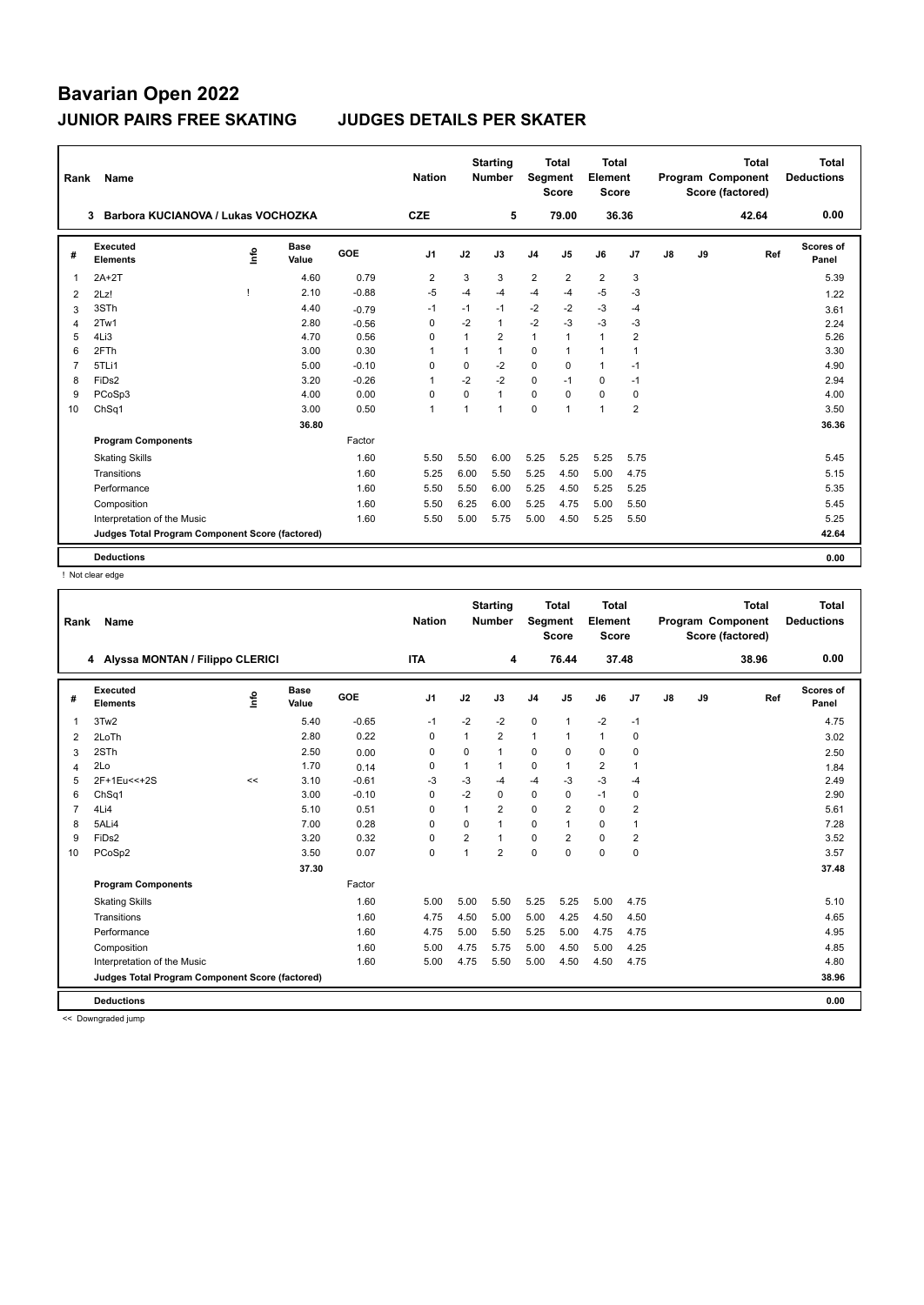| Rank           | Name                                            |                           |                      |         | <b>Nation</b>  |              | <b>Starting</b><br><b>Number</b> | <b>Segment</b> | <b>Total</b><br><b>Score</b> | Total<br>Element<br><b>Score</b> |                |               |    | Total<br>Program Component<br>Score (factored) | <b>Total</b><br><b>Deductions</b> |
|----------------|-------------------------------------------------|---------------------------|----------------------|---------|----------------|--------------|----------------------------------|----------------|------------------------------|----------------------------------|----------------|---------------|----|------------------------------------------------|-----------------------------------|
|                | Barbora KUCIANOVA / Lukas VOCHOZKA<br>3         |                           |                      |         |                |              | 5                                |                | 79.00                        | 36.36                            |                |               |    | 42.64                                          | 0.00                              |
| #              | Executed<br><b>Elements</b>                     | $\mathop{\mathsf{Inflo}}$ | <b>Base</b><br>Value | GOE     | J <sub>1</sub> | J2           | J3                               | J <sub>4</sub> | J <sub>5</sub>               | J6                               | J <sub>7</sub> | $\mathsf{J}8$ | J9 | Ref                                            | <b>Scores of</b><br>Panel         |
| $\overline{1}$ | $2A+2T$                                         |                           | 4.60                 | 0.79    | 2              | 3            | 3                                | $\overline{2}$ | $\overline{2}$               | $\overline{2}$                   | 3              |               |    |                                                | 5.39                              |
| 2              | 2Lz!                                            |                           | 2.10                 | $-0.88$ | $-5$           | $-4$         | $-4$                             | $-4$           | $-4$                         | $-5$                             | $-3$           |               |    |                                                | 1.22                              |
| 3              | 3STh                                            |                           | 4.40                 | $-0.79$ | $-1$           | $-1$         | $-1$                             | $-2$           | $-2$                         | $-3$                             | $-4$           |               |    |                                                | 3.61                              |
| $\overline{4}$ | 2Tw1                                            |                           | 2.80                 | $-0.56$ | 0              | $-2$         | 1                                | $-2$           | -3                           | $-3$                             | $-3$           |               |    |                                                | 2.24                              |
| 5              | 4Li3                                            |                           | 4.70                 | 0.56    | 0              | 1            | $\overline{2}$                   | $\mathbf{1}$   | 1                            | $\mathbf{1}$                     | $\overline{2}$ |               |    |                                                | 5.26                              |
| 6              | 2FTh                                            |                           | 3.00                 | 0.30    | -1             | 1            | 1                                | $\mathbf 0$    | $\mathbf{1}$                 | $\mathbf{1}$                     | $\mathbf 1$    |               |    |                                                | 3.30                              |
| $\overline{7}$ | 5TLi1                                           |                           | 5.00                 | $-0.10$ | $\Omega$       | $\Omega$     | $-2$                             | $\Omega$       | $\Omega$                     | $\mathbf{1}$                     | $-1$           |               |    |                                                | 4.90                              |
| 8              | FiDs2                                           |                           | 3.20                 | $-0.26$ | $\overline{1}$ | $-2$         | $-2$                             | 0              | $-1$                         | $\Omega$                         | $-1$           |               |    |                                                | 2.94                              |
| 9              | PCoSp3                                          |                           | 4.00                 | 0.00    | 0              | $\Omega$     | 1                                | $\mathbf 0$    | $\Omega$                     | 0                                | $\mathbf 0$    |               |    |                                                | 4.00                              |
| 10             | ChSq1                                           |                           | 3.00                 | 0.50    | $\mathbf{1}$   | $\mathbf{1}$ | $\overline{1}$                   | $\Omega$       | $\mathbf{1}$                 | $\overline{1}$                   | $\overline{2}$ |               |    |                                                | 3.50                              |
|                |                                                 |                           | 36.80                |         |                |              |                                  |                |                              |                                  |                |               |    |                                                | 36.36                             |
|                | <b>Program Components</b>                       |                           |                      | Factor  |                |              |                                  |                |                              |                                  |                |               |    |                                                |                                   |
|                | <b>Skating Skills</b>                           |                           |                      | 1.60    | 5.50           | 5.50         | 6.00                             | 5.25           | 5.25                         | 5.25                             | 5.75           |               |    |                                                | 5.45                              |
|                | Transitions                                     |                           |                      | 1.60    | 5.25           | 6.00         | 5.50                             | 5.25           | 4.50                         | 5.00                             | 4.75           |               |    |                                                | 5.15                              |
|                | Performance                                     |                           |                      | 1.60    | 5.50           | 5.50         | 6.00                             | 5.25           | 4.50                         | 5.25                             | 5.25           |               |    |                                                | 5.35                              |
|                | Composition                                     |                           |                      | 1.60    | 5.50           | 6.25         | 6.00                             | 5.25           | 4.75                         | 5.00                             | 5.50           |               |    |                                                | 5.45                              |
|                | Interpretation of the Music                     |                           |                      | 1.60    | 5.50           | 5.00         | 5.75                             | 5.00           | 4.50                         | 5.25                             | 5.50           |               |    |                                                | 5.25                              |
|                | Judges Total Program Component Score (factored) |                           |                      |         |                |              |                                  |                |                              |                                  |                |               |    |                                                | 42.64                             |
|                | <b>Deductions</b>                               |                           |                      |         |                |              |                                  |                |                              |                                  |                |               |    |                                                | 0.00                              |

! Not clear edge

|                | Name<br>Rank                                     |      |               |         |                |                | <b>Starting</b><br><b>Nation</b><br><b>Number</b> |                | Total<br>Segment<br><b>Score</b> |                | <b>Total</b><br>Element<br><b>Score</b> |    |    | <b>Total</b><br>Program Component<br>Score (factored) | <b>Total</b><br><b>Deductions</b> |
|----------------|--------------------------------------------------|------|---------------|---------|----------------|----------------|---------------------------------------------------|----------------|----------------------------------|----------------|-----------------------------------------|----|----|-------------------------------------------------------|-----------------------------------|
|                | 4 Alyssa MONTAN / Filippo CLERICI                |      |               |         | <b>ITA</b>     |                | 4                                                 |                | 76.44                            | 37.48          |                                         |    |    | 38.96                                                 | 0.00                              |
| #              | Executed<br><b>Elements</b>                      | ١nf٥ | Base<br>Value | GOE     | J <sub>1</sub> | J2             | J3                                                | J <sub>4</sub> | J5                               | J6             | J7                                      | J8 | J9 | Ref                                                   | Scores of<br>Panel                |
| $\overline{1}$ | 3Tw2                                             |      | 5.40          | $-0.65$ | $-1$           | $-2$           | $-2$                                              | $\mathbf 0$    | 1                                | $-2$           | $-1$                                    |    |    |                                                       | 4.75                              |
| 2              | 2LoTh                                            |      | 2.80          | 0.22    | $\Omega$       | 1              | $\overline{2}$                                    | $\mathbf{1}$   | 1                                | $\mathbf{1}$   | 0                                       |    |    |                                                       | 3.02                              |
| 3              | 2STh                                             |      | 2.50          | 0.00    | $\Omega$       | $\Omega$       | 1                                                 | 0              | $\Omega$                         | 0              | 0                                       |    |    |                                                       | 2.50                              |
| 4              | 2Lo                                              |      | 1.70          | 0.14    | $\Omega$       | 1              | 1                                                 | $\Omega$       | 1                                | $\overline{2}$ | 1                                       |    |    |                                                       | 1.84                              |
| 5              | 2F+1Eu<<+2S                                      | <<   | 3.10          | $-0.61$ | -3             | $-3$           | -4                                                | -4             | $-3$                             | $-3$           | $-4$                                    |    |    |                                                       | 2.49                              |
| 6              | ChSq1                                            |      | 3.00          | $-0.10$ | 0              | $-2$           | 0                                                 | 0              | 0                                | $-1$           | 0                                       |    |    |                                                       | 2.90                              |
| $\overline{7}$ | 4Li4                                             |      | 5.10          | 0.51    | $\Omega$       | $\mathbf{1}$   | $\overline{2}$                                    | $\mathbf 0$    | $\overline{2}$                   | $\mathbf 0$    | 2                                       |    |    |                                                       | 5.61                              |
| 8              | 5ALi4                                            |      | 7.00          | 0.28    | $\Omega$       | 0              | 1                                                 | $\mathbf 0$    | 1                                | $\mathbf 0$    | $\mathbf{1}$                            |    |    |                                                       | 7.28                              |
| 9              | FiDs2                                            |      | 3.20          | 0.32    | $\mathbf 0$    | $\overline{2}$ | 1                                                 | $\mathbf 0$    | $\overline{2}$                   | $\mathbf 0$    | $\overline{\mathbf{c}}$                 |    |    |                                                       | 3.52                              |
| 10             | PCoSp2                                           |      | 3.50          | 0.07    | $\mathbf 0$    | 1              | $\overline{2}$                                    | $\pmb{0}$      | 0                                | $\pmb{0}$      | 0                                       |    |    |                                                       | 3.57                              |
|                |                                                  |      | 37.30         |         |                |                |                                                   |                |                                  |                |                                         |    |    |                                                       | 37.48                             |
|                | <b>Program Components</b>                        |      |               | Factor  |                |                |                                                   |                |                                  |                |                                         |    |    |                                                       |                                   |
|                | <b>Skating Skills</b>                            |      |               | 1.60    | 5.00           | 5.00           | 5.50                                              | 5.25           | 5.25                             | 5.00           | 4.75                                    |    |    |                                                       | 5.10                              |
|                | Transitions                                      |      |               | 1.60    | 4.75           | 4.50           | 5.00                                              | 5.00           | 4.25                             | 4.50           | 4.50                                    |    |    |                                                       | 4.65                              |
|                | Performance                                      |      |               | 1.60    | 4.75           | 5.00           | 5.50                                              | 5.25           | 5.00                             | 4.75           | 4.75                                    |    |    |                                                       | 4.95                              |
|                | Composition                                      |      |               | 1.60    | 5.00           | 4.75           | 5.75                                              | 5.00           | 4.50                             | 5.00           | 4.25                                    |    |    |                                                       | 4.85                              |
|                | Interpretation of the Music                      |      |               | 1.60    | 5.00           | 4.75           | 5.50                                              | 5.00           | 4.50                             | 4.50           | 4.75                                    |    |    |                                                       | 4.80                              |
|                | Judges Total Program Component Score (factored)  |      |               |         |                |                |                                                   |                |                                  |                |                                         |    |    |                                                       | 38.96                             |
|                |                                                  |      |               |         |                |                |                                                   |                |                                  |                |                                         |    |    |                                                       |                                   |
|                | <b>Deductions</b><br>and Charles and deal from a |      |               |         |                |                |                                                   |                |                                  |                |                                         |    |    |                                                       | 0.00                              |

<< Downgraded jump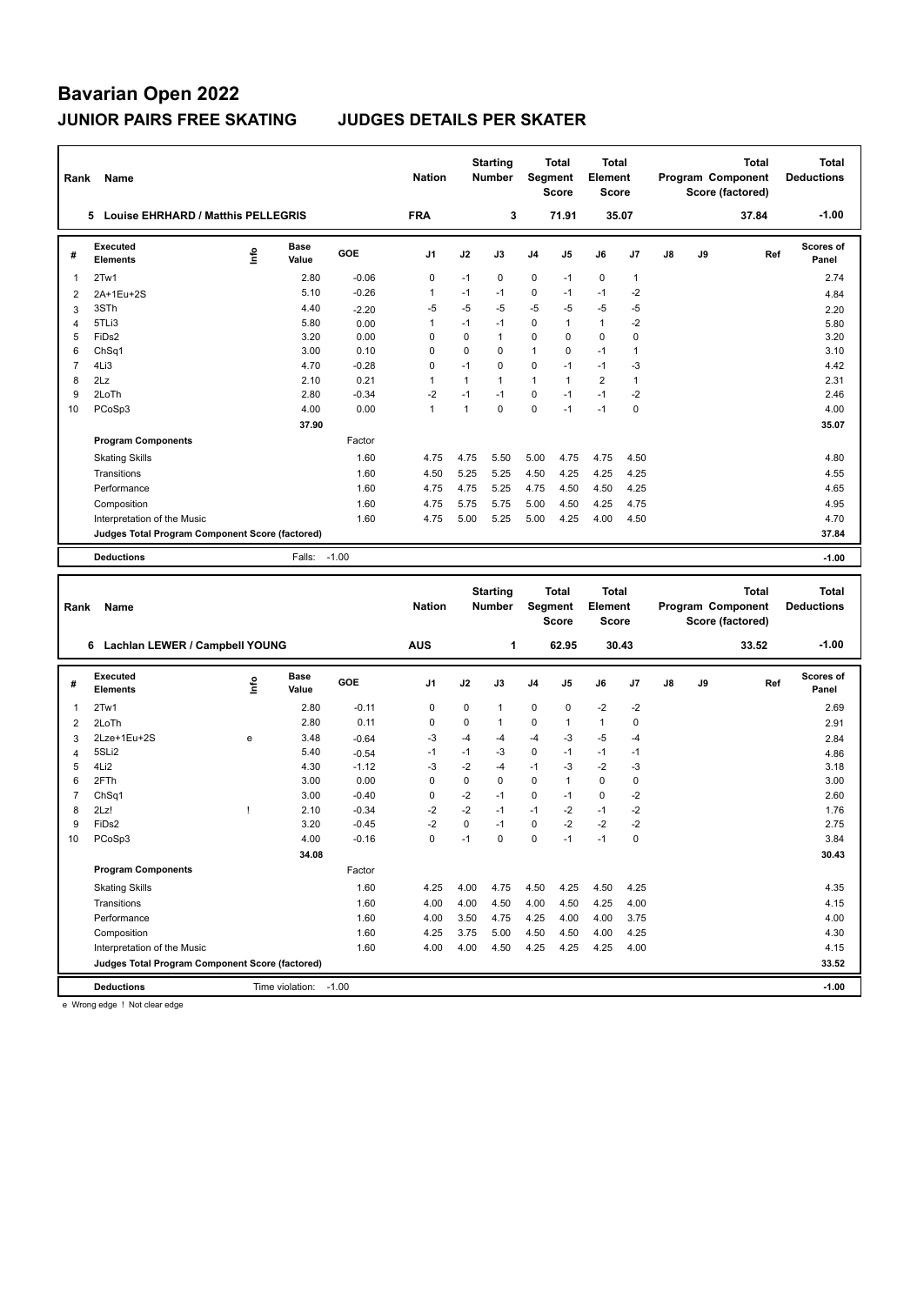| Rank           | Name                                            |              |                      |         | <b>Nation</b> |              | <b>Starting</b><br><b>Number</b> |             | Total<br>Segment<br><b>Score</b>        | Total<br>Element<br><b>Score</b> |              |    |    | Program Component<br>Score (factored) | <b>Total</b> | <b>Total</b><br><b>Deductions</b> |
|----------------|-------------------------------------------------|--------------|----------------------|---------|---------------|--------------|----------------------------------|-------------|-----------------------------------------|----------------------------------|--------------|----|----|---------------------------------------|--------------|-----------------------------------|
|                | 5 Louise EHRHARD / Matthis PELLEGRIS            |              |                      |         | <b>FRA</b>    |              | 3                                |             | 71.91                                   |                                  | 35.07        |    |    |                                       | 37.84        | $-1.00$                           |
| #              | <b>Executed</b><br><b>Elements</b>              | Life         | <b>Base</b><br>Value | GOE     | J1            | J2           | J3                               | J4          | J5                                      | J6                               | J7           | J8 | J9 |                                       | Ref          | <b>Scores of</b><br>Panel         |
| 1              | 2Tw1                                            |              | 2.80                 | $-0.06$ | 0             | $-1$         | 0                                | 0           | $-1$                                    | 0                                | 1            |    |    |                                       |              | 2.74                              |
| $\overline{2}$ | 2A+1Eu+2S                                       |              | 5.10                 | $-0.26$ | 1             | $-1$         | $-1$                             | 0           | $-1$                                    | $-1$                             | $-2$         |    |    |                                       |              | 4.84                              |
| 3              | 3STh                                            |              | 4.40                 | $-2.20$ | $-5$          | $-5$         | -5                               | $-5$        | $-5$                                    | $-5$                             | $-5$         |    |    |                                       |              | 2.20                              |
| $\overline{4}$ | 5TLi3                                           |              | 5.80                 | 0.00    | 1             | $-1$         | $-1$                             | 0           | $\mathbf{1}$                            | $\mathbf{1}$                     | $-2$         |    |    |                                       |              | 5.80                              |
| 5              | FiDs2                                           |              | 3.20                 | 0.00    | 0             | 0            | $\mathbf{1}$                     | 0           | 0                                       | 0                                | 0            |    |    |                                       |              | 3.20                              |
| 6              | Ch <sub>Sq1</sub>                               |              | 3.00                 | 0.10    | 0             | 0            | 0                                | 1           | 0                                       | $-1$                             | 1            |    |    |                                       |              | 3.10                              |
| $\overline{7}$ | 4Li3                                            |              | 4.70                 | $-0.28$ | 0             | $-1$         | $\mathbf 0$                      | 0           | $-1$                                    | $-1$                             | $-3$         |    |    |                                       |              | 4.42                              |
| 8              | 2Lz                                             |              | 2.10                 | 0.21    | 1             | 1            | $\overline{1}$                   | 1           | $\mathbf{1}$                            | $\overline{2}$                   | $\mathbf{1}$ |    |    |                                       |              | 2.31                              |
| 9              | 2LoTh                                           |              | 2.80                 | $-0.34$ | $-2$          | $-1$         | $-1$                             | $\mathbf 0$ | $-1$                                    | $-1$                             | $-2$         |    |    |                                       |              | 2.46                              |
| 10             | PCoSp3                                          |              | 4.00                 | 0.00    | 1             | $\mathbf{1}$ | $\mathbf 0$                      | $\mathbf 0$ | $-1$                                    | $-1$                             | 0            |    |    |                                       |              | 4.00                              |
|                |                                                 |              | 37.90                |         |               |              |                                  |             |                                         |                                  |              |    |    |                                       |              | 35.07                             |
|                | <b>Program Components</b>                       |              |                      | Factor  |               |              |                                  |             |                                         |                                  |              |    |    |                                       |              |                                   |
|                | <b>Skating Skills</b>                           |              |                      | 1.60    | 4.75          | 4.75         | 5.50                             | 5.00        | 4.75                                    | 4.75                             | 4.50         |    |    |                                       |              | 4.80                              |
|                | Transitions                                     |              |                      | 1.60    | 4.50          | 5.25         | 5.25                             | 4.50        | 4.25                                    | 4.25                             | 4.25         |    |    |                                       |              | 4.55                              |
|                | Performance                                     |              |                      | 1.60    | 4.75          | 4.75         | 5.25                             | 4.75        | 4.50                                    | 4.50                             | 4.25         |    |    |                                       |              | 4.65                              |
|                | Composition                                     |              |                      | 1.60    | 4.75          | 5.75         | 5.75                             | 5.00        | 4.50                                    | 4.25                             | 4.75         |    |    |                                       |              | 4.95                              |
|                | Interpretation of the Music                     |              |                      | 1.60    | 4.75          | 5.00         | 5.25                             | 5.00        | 4.25                                    | 4.00                             | 4.50         |    |    |                                       |              | 4.70                              |
|                | Judges Total Program Component Score (factored) |              |                      |         |               |              |                                  |             |                                         |                                  |              |    |    |                                       |              | 37.84                             |
|                | <b>Deductions</b>                               |              | Falls:               | $-1.00$ |               |              |                                  |             |                                         |                                  |              |    |    |                                       |              | $-1.00$                           |
|                |                                                 |              |                      |         |               |              |                                  |             |                                         |                                  |              |    |    |                                       |              |                                   |
|                |                                                 |              |                      |         |               |              |                                  |             |                                         |                                  |              |    |    |                                       |              |                                   |
| Rank           | Name                                            |              |                      |         | <b>Nation</b> |              | <b>Starting</b><br>Number        |             | <b>Total</b><br>Segment<br><b>Score</b> | <b>Total</b><br>Element<br>Score |              |    |    | Program Component<br>Score (factored) | <b>Total</b> | <b>Total</b><br><b>Deductions</b> |
|                | 6 Lachlan LEWER / Campbell YOUNG                |              |                      |         | <b>AUS</b>    |              | 1                                |             | 62.95                                   |                                  | 30.43        |    |    |                                       | 33.52        | $-1.00$                           |
|                | <b>Executed</b>                                 |              | Base                 |         |               |              |                                  |             |                                         |                                  |              |    |    |                                       |              | <b>Scores of</b>                  |
| #              | <b>Elements</b>                                 | ۴ů           | Value                | GOE     | J1            | J2           | J3                               | J4          | J5                                      | J6                               | J7           | J8 | J9 |                                       | Ref          | Panel                             |
| 1              | 2Tw1                                            |              | 2.80                 | $-0.11$ | 0             | 0            | $\mathbf{1}$                     | 0           | 0                                       | $-2$                             | $-2$         |    |    |                                       |              | 2.69                              |
| 2              | 2LoTh                                           |              | 2.80                 | 0.11    | 0             | 0            | $\mathbf{1}$                     | 0           | $\mathbf{1}$                            | $\mathbf{1}$                     | 0            |    |    |                                       |              | 2.91                              |
| 3              | 2Lze+1Eu+2S                                     | e            | 3.48                 | $-0.64$ | $-3$          | $-4$         | -4                               | $-4$        | $-3$                                    | $-5$                             | $-4$         |    |    |                                       |              | 2.84                              |
| 4              | 5SLi2                                           |              | 5.40                 | $-0.54$ | $-1$          | $-1$         | -3                               | 0           | $-1$                                    | $-1$                             | $-1$         |    |    |                                       |              | 4.86                              |
| 5              | 4Li2                                            |              | 4.30                 | $-1.12$ | $-3$          | $-2$         | -4                               | $-1$        | $-3$                                    | $-2$                             | $-3$         |    |    |                                       |              | 3.18                              |
| 6              | 2FTh                                            |              | 3.00                 | 0.00    | 0             | $\mathbf 0$  | $\mathbf 0$                      | $\mathbf 0$ | $\mathbf{1}$                            | $\mathbf 0$                      | 0            |    |    |                                       |              | 3.00                              |
| $\overline{7}$ | Ch <sub>Sq1</sub>                               |              | 3.00                 | $-0.40$ | 0             | $-2$         | $-1$                             | 0           | $-1$                                    | $\mathbf 0$                      | $-2$         |    |    |                                       |              | 2.60                              |
| 8              | 2Lz!                                            | $\mathbf{I}$ | 2.10                 | $-0.34$ | $-2$          | $-2$         | $-1$                             | $-1$        | $-2$                                    | $-1$                             | $-2$         |    |    |                                       |              | 1.76                              |
| 9              | FiDs2                                           |              | 3.20                 | $-0.45$ | $-2$          | 0            | $-1$                             | 0           | $-2$                                    | $-2$                             | $-2$         |    |    |                                       |              | 2.75                              |
| 10             | PCoSp3                                          |              | 4.00                 | -0.16   | $\Omega$      | $-1$         | $\Omega$                         | $\Omega$    | $-1$                                    | $-1$                             | $\Omega$     |    |    |                                       |              | 3.84                              |
|                |                                                 |              | 34.08                |         |               |              |                                  |             |                                         |                                  |              |    |    |                                       |              | 30.43                             |
|                | <b>Program Components</b>                       |              |                      | Factor  |               |              |                                  |             |                                         |                                  |              |    |    |                                       |              |                                   |
|                | <b>Skating Skills</b>                           |              |                      | 1.60    | 4.25          | 4.00         | 4.75                             | 4.50        | 4.25                                    | 4.50                             | 4.25         |    |    |                                       |              | 4.35                              |
|                | Transitions                                     |              |                      | 1.60    | 4.00          | 4.00         | 4.50                             | 4.00        | 4.50                                    | 4.25                             | 4.00         |    |    |                                       |              | 4.15                              |
|                | Performance                                     |              |                      | 1.60    | 4.00          | 3.50         | 4.75                             | 4.25        | 4.00                                    | 4.00                             | 3.75         |    |    |                                       |              | 4.00                              |
|                | Composition                                     |              |                      | 1.60    | 4.25          | 3.75         | 5.00                             | 4.50        | 4.50                                    | 4.00                             | 4.25         |    |    |                                       |              | 4.30                              |
|                | Interpretation of the Music                     |              |                      | 1.60    | 4.00          | 4.00         | 4.50                             | 4.25        | 4.25                                    | 4.25                             | 4.00         |    |    |                                       |              | 4.15                              |
|                | Judges Total Program Component Score (factored) |              |                      |         |               |              |                                  |             |                                         |                                  |              |    |    |                                       |              | 33.52                             |

e Wrong edge ! Not clear edge